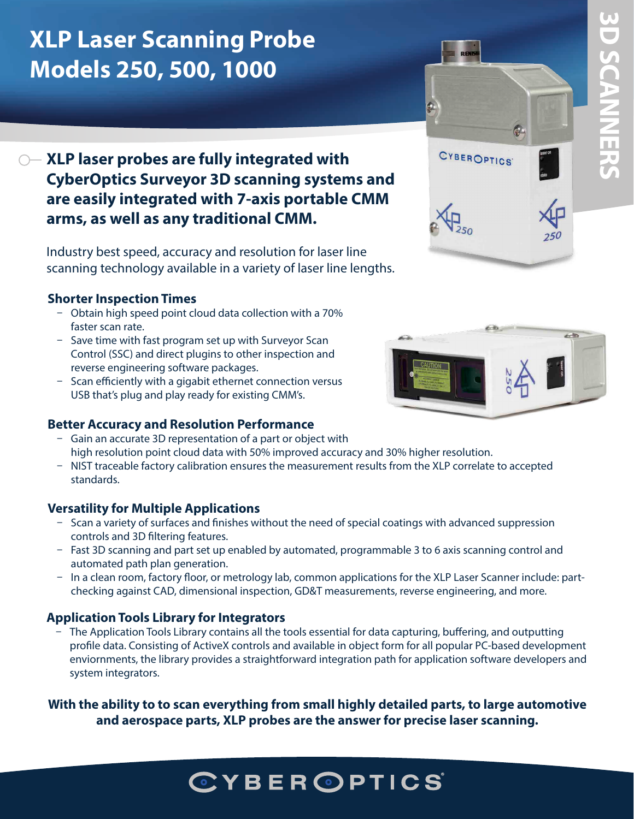## **3D SCANNERS 3D SCANNERS**

## **XLP Laser Scanning Probe Models 250, 500, 1000**

#### **XLP laser probes are fully integrated with CyberOptics Surveyor 3D scanning systems and are easily integrated with 7-axis portable CMM arms, as well as any traditional CMM.**

Industry best speed, accuracy and resolution for laser line scanning technology available in a variety of laser line lengths.

#### **Shorter Inspection Times**

- Obtain high speed point cloud data collection with a 70% faster scan rate.
- Save time with fast program set up with Surveyor Scan Control (SSC) and direct plugins to other inspection and reverse engineering software packages.
- Scan efficiently with a gigabit ethernet connection versus USB that's plug and play ready for existing CMM's.

#### **Better Accuracy and Resolution Performance**

- Gain an accurate 3D representation of a part or object with high resolution point cloud data with 50% improved accuracy and 30% higher resolution.
- NIST traceable factory calibration ensures the measurement results from the XLP correlate to accepted standards.

#### **Versatility for Multiple Applications**

- Scan a variety of surfaces and finishes without the need of special coatings with advanced suppression controls and 3D filtering features.
- ū Fast 3D scanning and part set up enabled by automated, programmable 3 to 6 axis scanning control and automated path plan generation.
- In a clean room, factory floor, or metrology lab, common applications for the XLP Laser Scanner include: partchecking against CAD, dimensional inspection, GD&T measurements, reverse engineering, and more.

#### **Application Tools Library for Integrators**

ū The Application Tools Library contains all the tools essential for data capturing, buffering, and outputting profile data. Consisting of ActiveX controls and available in object form for all popular PC-based development enviornments, the library provides a straightforward integration path for application software developers and system integrators.

**With the ability to to scan everything from small highly detailed parts, to large automotive and aerospace parts, XLP probes are the answer for precise laser scanning.**

# in 19

CYBEROPTICS'

## **CYBEROPTICS**